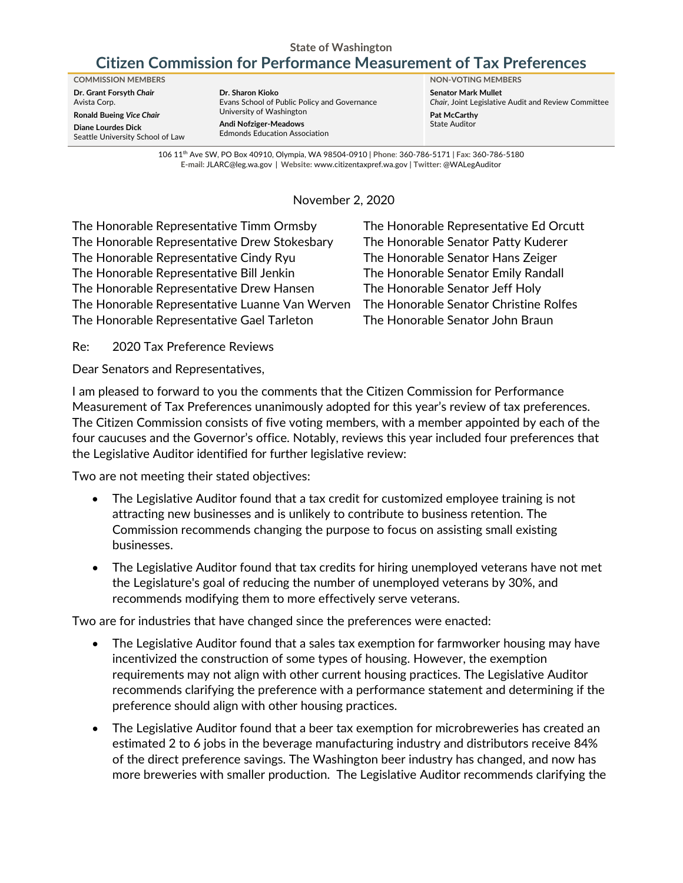#### **State of Washington**

# **Citizen Commission for Performance Measurement of Tax Preferences**

**Dr. Grant Forsyth** *Chair* Avista Corp. **Ronald Bueing** *Vice Chair* **Diane Lourdes Dick** Seattle University School of Law

**Dr. Sharon Kioko** Evans School of Public Policy and Governance University of Washington **Andi Nofziger-Meadows** Edmonds Education Association

**COMMISSION MEMBERS NON-VOTING MEMBERS Senator Mark Mullet** *Chair*, Joint Legislative Audit and Review Committee **Pat McCarthy** State Auditor

> 106 11th Ave SW, PO Box 40910, Olympia, WA 98504-0910 | **Phone**: 360-786-5171 | **Fax:** 360-786-5180 **E-mail:** [JLARC@leg.wa.gov](mailto:JLARC@leg.wa.gov) | **Website:** [www.citizentaxpref.wa.gov](http://www.citizentaxpref.wa.gov/) | **Twitter:** [@WALegAuditor](https://twitter.com/walegauditor)

> > November 2, 2020

The Honorable Representative Timm Ormsby The Honorable Representative Ed Orcutt The Honorable Representative Drew Stokesbary The Honorable Senator Patty Kuderer The Honorable Representative Cindy Ryu The Honorable Senator Hans Zeiger The Honorable Representative Bill Jenkin The Honorable Senator Emily Randall The Honorable Representative Drew Hansen The Honorable Senator Jeff Holy The Honorable Representative Luanne Van Werven The Honorable Senator Christine Rolfes The Honorable Representative Gael Tarleton The Honorable Senator John Braun

Re: 2020 Tax Preference Reviews

Dear Senators and Representatives,

I am pleased to forward to you the comments that the Citizen Commission for Performance Measurement of Tax Preferences unanimously adopted for this year's review of tax preferences. The Citizen Commission consists of five voting members, with a member appointed by each of the four caucuses and the Governor's office. Notably, reviews this year included four preferences that the Legislative Auditor identified for further legislative review:

Two are not meeting their stated objectives:

- The Legislative Auditor found that a tax credit for customized employee training is not attracting new businesses and is unlikely to contribute to business retention. The Commission recommends changing the purpose to focus on assisting small existing businesses.
- The Legislative Auditor found that tax credits for hiring unemployed veterans have not met the Legislature's goal of reducing the number of unemployed veterans by 30%, and recommends modifying them to more effectively serve veterans.

Two are for industries that have changed since the preferences were enacted:

- The Legislative Auditor found that a sales tax exemption for farmworker housing may have incentivized the construction of some types of housing. However, the exemption requirements may not align with other current housing practices. The Legislative Auditor recommends clarifying the preference with a performance statement and determining if the preference should align with other housing practices.
- The Legislative Auditor found that a beer tax exemption for microbreweries has created an estimated 2 to 6 jobs in the beverage manufacturing industry and distributors receive 84% of the direct preference savings. The Washington beer industry has changed, and now has more breweries with smaller production. The Legislative Auditor recommends clarifying the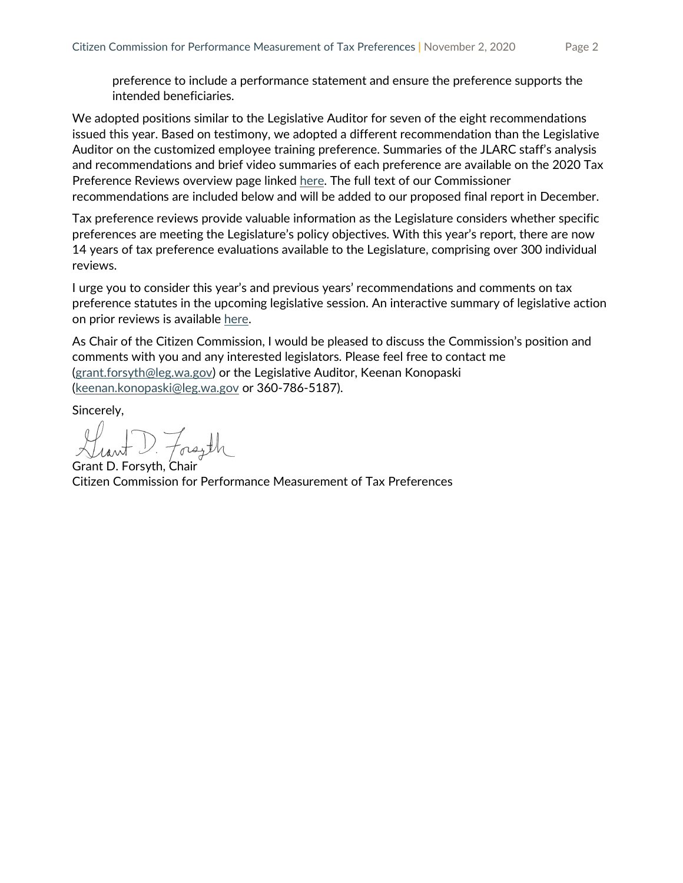preference to include a performance statement and ensure the preference supports the intended beneficiaries.

We adopted positions similar to the Legislative Auditor for seven of the eight recommendations issued this year. Based on testimony, we adopted a different recommendation than the Legislative Auditor on the customized employee training preference. Summaries of the JLARC staff's analysis and recommendations and brief video summaries of each preference are available on the 2020 Tax Preference Reviews overview page linked [here.](https://leg.wa.gov/jlarc/taxReports/2020/pf_proFin_default.html) The full text of our Commissioner recommendations are included below and will be added to our proposed final report in December.

Tax preference reviews provide valuable information as the Legislature considers whether specific preferences are meeting the Legislature's policy objectives. With this year's report, there are now 14 years of tax preference evaluations available to the Legislature, comprising over 300 individual reviews.

I urge you to consider this year's and previous years' recommendations and comments on tax preference statutes in the upcoming legislative session. An interactive summary of legislative action on prior reviews is available [here.](https://app.powerbigov.us/view?r=eyJrIjoiNTJhMDZlNDEtYTRlMi00MDlkLTgwYTYtNjUxZjRkMmFmNzgwIiwidCI6Ijg0OGIwZTZjLTk0ODktNGQ4My1iMzFlLTRmZGU5OTczMmIwOSJ9)

As Chair of the Citizen Commission, I would be pleased to discuss the Commission's position and comments with you and any interested legislators. Please feel free to contact me [\(grant.forsyth@leg.wa.gov\)](mailto:grant.forsyth@leg.wa.gov) or the Legislative Auditor, Keenan Konopaski [\(keenan.konopaski@leg.wa.gov](mailto:keenan.konopaski@leg.wa.gov) or 360-786-5187).

Sincerely,

D. Forsyth

Grant D. Forsyth, Chair Citizen Commission for Performance Measurement of Tax Preferences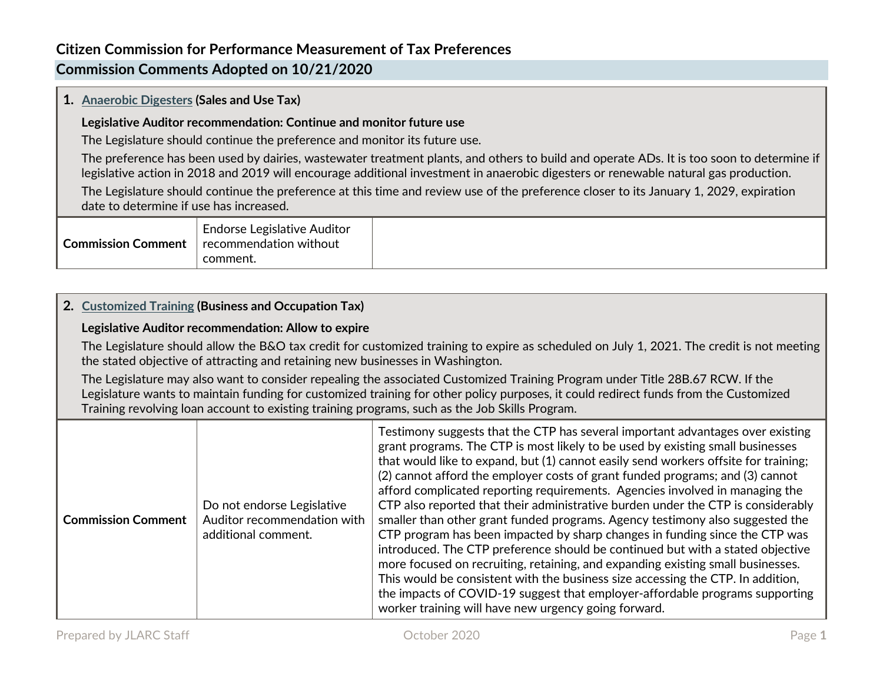# **Commission Comments Adopted on 10/21/2020**

### **1. [Anaerobic Digesters](http://leg.wa.gov/jlarc/taxReports/2020/anaerobic/p_i/default.html) (Sales and Use Tax)**

### **Legislative Auditor recommendation: Continue and monitor future use**

The Legislature should continue the preference and monitor its future use.

The preference has been used by dairies, wastewater treatment plants, and others to build and operate ADs. It is too soon to determine if legislative action in 2018 and 2019 will encourage additional investment in anaerobic digesters or renewable natural gas production.

The Legislature should continue the preference at this time and review use of the preference closer to its January 1, 2029, expiration date to determine if use has increased.

| <b>Commission Comment</b> | Endorse Legislative Auditor<br>recommendation without |  |
|---------------------------|-------------------------------------------------------|--|
|                           | .comment                                              |  |

### **2. [Customized Training](http://leg.wa.gov/jlarc/taxReports/2020/workforce/p_i/default.html) (Business and Occupation Tax)**

### **Legislative Auditor recommendation: Allow to expire**

The Legislature should allow the B&O tax credit for customized training to expire as scheduled on July 1, 2021. The credit is not meeting the stated objective of attracting and retaining new businesses in Washington.

The Legislature may also want to consider repealing the associated Customized Training Program under Title 28B.67 RCW. If the Legislature wants to maintain funding for customized training for other policy purposes, it could redirect funds from the Customized Training revolving loan account to existing training programs, such as the Job Skills Program.

| <b>Commission Comment</b> | Do not endorse Legislative<br>Auditor recommendation with<br>additional comment. | Testimony suggests that the CTP has several important advantages over existing<br>grant programs. The CTP is most likely to be used by existing small businesses<br>that would like to expand, but (1) cannot easily send workers offsite for training;<br>(2) cannot afford the employer costs of grant funded programs; and (3) cannot<br>afford complicated reporting requirements. Agencies involved in managing the<br>CTP also reported that their administrative burden under the CTP is considerably<br>smaller than other grant funded programs. Agency testimony also suggested the<br>CTP program has been impacted by sharp changes in funding since the CTP was<br>introduced. The CTP preference should be continued but with a stated objective<br>more focused on recruiting, retaining, and expanding existing small businesses.<br>This would be consistent with the business size accessing the CTP. In addition,<br>the impacts of COVID-19 suggest that employer-affordable programs supporting<br>worker training will have new urgency going forward. |
|---------------------------|----------------------------------------------------------------------------------|------------------------------------------------------------------------------------------------------------------------------------------------------------------------------------------------------------------------------------------------------------------------------------------------------------------------------------------------------------------------------------------------------------------------------------------------------------------------------------------------------------------------------------------------------------------------------------------------------------------------------------------------------------------------------------------------------------------------------------------------------------------------------------------------------------------------------------------------------------------------------------------------------------------------------------------------------------------------------------------------------------------------------------------------------------------------------|
|---------------------------|----------------------------------------------------------------------------------|------------------------------------------------------------------------------------------------------------------------------------------------------------------------------------------------------------------------------------------------------------------------------------------------------------------------------------------------------------------------------------------------------------------------------------------------------------------------------------------------------------------------------------------------------------------------------------------------------------------------------------------------------------------------------------------------------------------------------------------------------------------------------------------------------------------------------------------------------------------------------------------------------------------------------------------------------------------------------------------------------------------------------------------------------------------------------|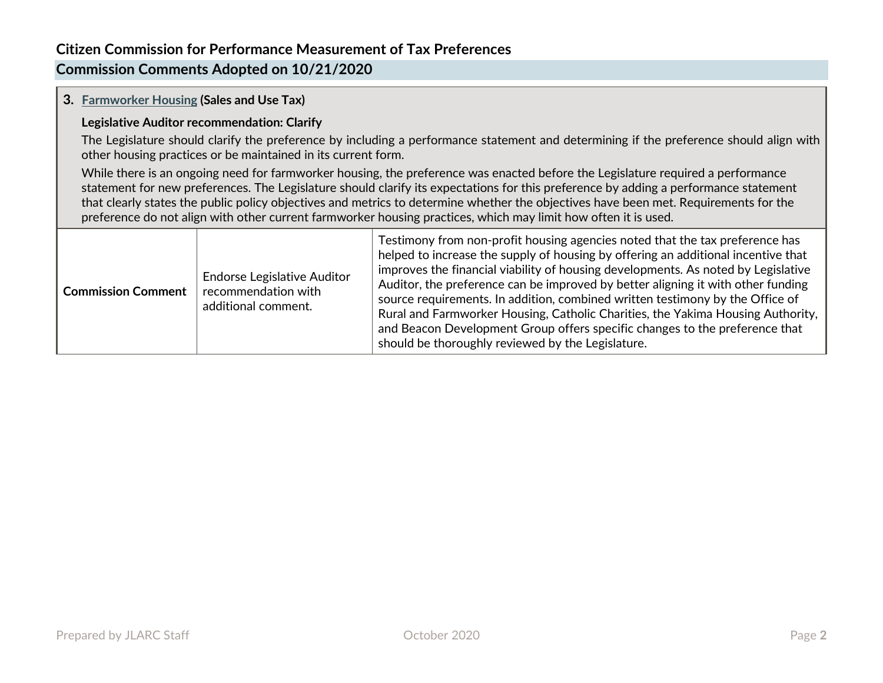# **Commission Comments Adopted on 10/21/2020**

### **3. [Farmworker Housing](http://leg.wa.gov/jlarc/taxReports/2020/farmhousing/p_i/default.html) (Sales and Use Tax)**

#### **Legislative Auditor recommendation: Clarify**

The Legislature should clarify the preference by including a performance statement and determining if the preference should align with other housing practices or be maintained in its current form.

While there is an ongoing need for farmworker housing, the preference was enacted before the Legislature required a performance statement for new preferences. The Legislature should clarify its expectations for this preference by adding a performance statement that clearly states the public policy objectives and metrics to determine whether the objectives have been met. Requirements for the preference do not align with other current farmworker housing practices, which may limit how often it is used.

| <b>Commission Comment</b> | <b>Endorse Legislative Auditor</b><br>recommendation with<br>additional comment. | Testimony from non-profit housing agencies noted that the tax preference has<br>helped to increase the supply of housing by offering an additional incentive that<br>improves the financial viability of housing developments. As noted by Legislative<br>Auditor, the preference can be improved by better aligning it with other funding<br>source requirements. In addition, combined written testimony by the Office of<br>Rural and Farmworker Housing, Catholic Charities, the Yakima Housing Authority,<br>and Beacon Development Group offers specific changes to the preference that<br>should be thoroughly reviewed by the Legislature. |
|---------------------------|----------------------------------------------------------------------------------|----------------------------------------------------------------------------------------------------------------------------------------------------------------------------------------------------------------------------------------------------------------------------------------------------------------------------------------------------------------------------------------------------------------------------------------------------------------------------------------------------------------------------------------------------------------------------------------------------------------------------------------------------|
|---------------------------|----------------------------------------------------------------------------------|----------------------------------------------------------------------------------------------------------------------------------------------------------------------------------------------------------------------------------------------------------------------------------------------------------------------------------------------------------------------------------------------------------------------------------------------------------------------------------------------------------------------------------------------------------------------------------------------------------------------------------------------------|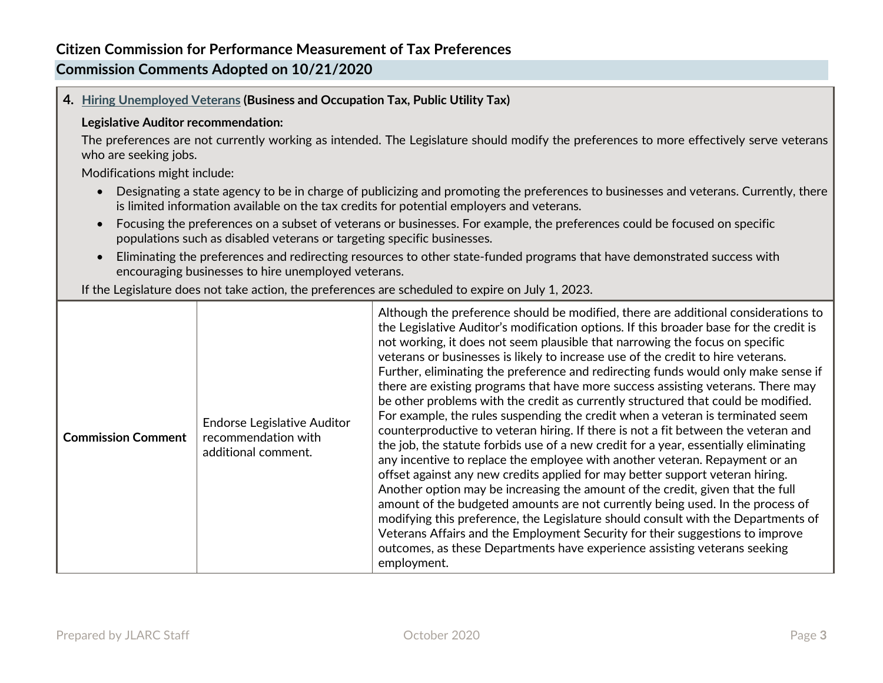# **Commission Comments Adopted on 10/21/2020**

**4. [Hiring Unemployed Veterans](http://leg.wa.gov/jlarc/taxReports/2020/vets/p_i/default.html) (Business and Occupation Tax, Public Utility Tax)**

#### **Legislative Auditor recommendation:**

The preferences are not currently working as intended. The Legislature should modify the preferences to more effectively serve veterans who are seeking jobs.

Modifications might include:

- Designating a state agency to be in charge of publicizing and promoting the preferences to businesses and veterans. Currently, there is limited information available on the tax credits for potential employers and veterans.
- Focusing the preferences on a subset of veterans or businesses. For example, the preferences could be focused on specific populations such as disabled veterans or targeting specific businesses.
- Eliminating the preferences and redirecting resources to other state-funded programs that have demonstrated success with encouraging businesses to hire unemployed veterans.

If the Legislature does not take action, the preferences are scheduled to expire on July 1, 2023.

| <b>Commission Comment</b> | <b>Endorse Legislative Auditor</b><br>recommendation with<br>additional comment. | Although the preference should be modified, there are additional considerations to<br>the Legislative Auditor's modification options. If this broader base for the credit is<br>not working, it does not seem plausible that narrowing the focus on specific<br>veterans or businesses is likely to increase use of the credit to hire veterans.<br>Further, eliminating the preference and redirecting funds would only make sense if<br>there are existing programs that have more success assisting veterans. There may<br>be other problems with the credit as currently structured that could be modified.<br>For example, the rules suspending the credit when a veteran is terminated seem<br>counterproductive to veteran hiring. If there is not a fit between the veteran and<br>the job, the statute forbids use of a new credit for a year, essentially eliminating<br>any incentive to replace the employee with another veteran. Repayment or an<br>offset against any new credits applied for may better support veteran hiring.<br>Another option may be increasing the amount of the credit, given that the full<br>amount of the budgeted amounts are not currently being used. In the process of<br>modifying this preference, the Legislature should consult with the Departments of<br>Veterans Affairs and the Employment Security for their suggestions to improve<br>outcomes, as these Departments have experience assisting veterans seeking<br>employment. |
|---------------------------|----------------------------------------------------------------------------------|---------------------------------------------------------------------------------------------------------------------------------------------------------------------------------------------------------------------------------------------------------------------------------------------------------------------------------------------------------------------------------------------------------------------------------------------------------------------------------------------------------------------------------------------------------------------------------------------------------------------------------------------------------------------------------------------------------------------------------------------------------------------------------------------------------------------------------------------------------------------------------------------------------------------------------------------------------------------------------------------------------------------------------------------------------------------------------------------------------------------------------------------------------------------------------------------------------------------------------------------------------------------------------------------------------------------------------------------------------------------------------------------------------------------------------------------------------------------------------------|
|---------------------------|----------------------------------------------------------------------------------|---------------------------------------------------------------------------------------------------------------------------------------------------------------------------------------------------------------------------------------------------------------------------------------------------------------------------------------------------------------------------------------------------------------------------------------------------------------------------------------------------------------------------------------------------------------------------------------------------------------------------------------------------------------------------------------------------------------------------------------------------------------------------------------------------------------------------------------------------------------------------------------------------------------------------------------------------------------------------------------------------------------------------------------------------------------------------------------------------------------------------------------------------------------------------------------------------------------------------------------------------------------------------------------------------------------------------------------------------------------------------------------------------------------------------------------------------------------------------------------|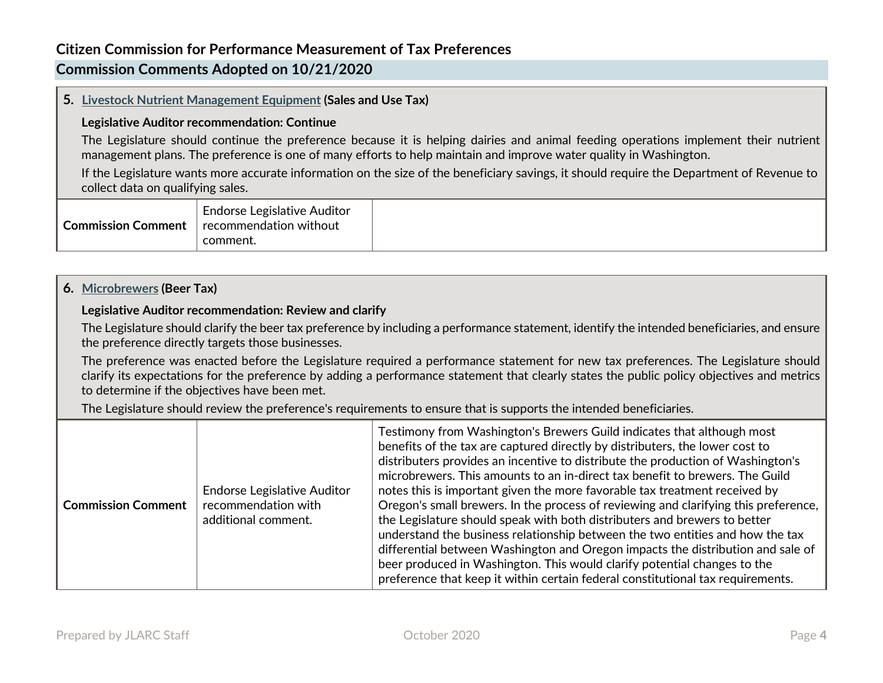# **Commission Comments Adopted on 10/21/2020**

### **5. [Livestock Nutrient Management Equipment](http://leg.wa.gov/jlarc/taxReports/2020/livestock/p_i/default.html) (Sales and Use Tax)**

#### **Legislative Auditor recommendation: Continue**

The Legislature should continue the preference because it is helping dairies and animal feeding operations implement their nutrient management plans. The preference is one of many efforts to help maintain and improve water quality in Washington.

If the Legislature wants more accurate information on the size of the beneficiary savings, it should require the Department of Revenue to collect data on qualifying sales.

| ← Commission Comment + | <b>Endorse Legislative Auditor</b><br>$\mid$ recommendation without<br>comment. |  |
|------------------------|---------------------------------------------------------------------------------|--|
|------------------------|---------------------------------------------------------------------------------|--|

### **6. [Microbrewers](http://leg.wa.gov/jlarc/taxReports/2020/microbrewers/p_i/default.html) (Beer Tax)**

#### **Legislative Auditor recommendation: Review and clarify**

The Legislature should clarify the beer tax preference by including a performance statement, identify the intended beneficiaries, and ensure the preference directly targets those businesses.

The preference was enacted before the Legislature required a performance statement for new tax preferences. The Legislature should clarify its expectations for the preference by adding a performance statement that clearly states the public policy objectives and metrics to determine if the objectives have been met.

The Legislature should review the preference's requirements to ensure that is supports the intended beneficiaries.

| <b>Commission Comment</b> | <b>Endorse Legislative Auditor</b><br>recommendation with<br>additional comment. | Testimony from Washington's Brewers Guild indicates that although most<br>benefits of the tax are captured directly by distributers, the lower cost to<br>distributers provides an incentive to distribute the production of Washington's<br>microbrewers. This amounts to an in-direct tax benefit to brewers. The Guild<br>notes this is important given the more favorable tax treatment received by<br>Oregon's small brewers. In the process of reviewing and clarifying this preference,<br>the Legislature should speak with both distributers and brewers to better<br>understand the business relationship between the two entities and how the tax<br>differential between Washington and Oregon impacts the distribution and sale of<br>beer produced in Washington. This would clarify potential changes to the<br>preference that keep it within certain federal constitutional tax requirements. |
|---------------------------|----------------------------------------------------------------------------------|----------------------------------------------------------------------------------------------------------------------------------------------------------------------------------------------------------------------------------------------------------------------------------------------------------------------------------------------------------------------------------------------------------------------------------------------------------------------------------------------------------------------------------------------------------------------------------------------------------------------------------------------------------------------------------------------------------------------------------------------------------------------------------------------------------------------------------------------------------------------------------------------------------------|
|---------------------------|----------------------------------------------------------------------------------|----------------------------------------------------------------------------------------------------------------------------------------------------------------------------------------------------------------------------------------------------------------------------------------------------------------------------------------------------------------------------------------------------------------------------------------------------------------------------------------------------------------------------------------------------------------------------------------------------------------------------------------------------------------------------------------------------------------------------------------------------------------------------------------------------------------------------------------------------------------------------------------------------------------|